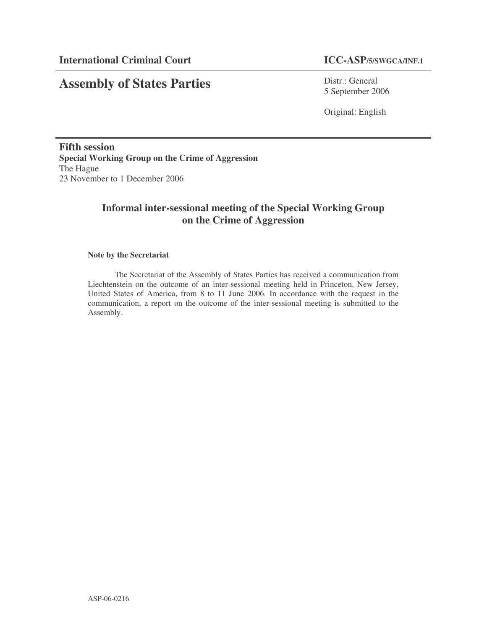# **Assembly of States Parties**

Distr.: General 5 September 2006

Original: English

**Fifth session Special Working Group on the Crime of Aggression** The Hague 23 November to 1 December 2006

## **Informal inter-sessional meeting of the Special Working Group on the Crime of Aggression**

## **Note by the Secretariat**

The Secretariat of the Assembly of States Parties has received a communication from Liechtenstein on the outcome of an inter-sessional meeting held in Princeton, New Jersey, United States of America, from 8 to 11 June 2006. In accordance with the request in the communication, a report on the outcome of the inter-sessional meeting is submitted to the Assembly.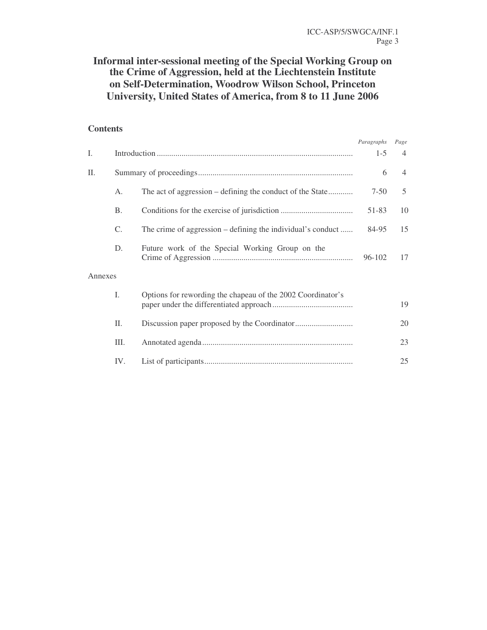## **Informal inter-sessional meeting of the Special Working Group on the Crime of Aggression, held at the Liechtenstein Institute on Self-Determination, Woodrow Wilson School, Princeton University, United States of America, from 8 to 11 June 2006**

## **Contents**

|         |           |                                                             | Paragraphs | Page           |
|---------|-----------|-------------------------------------------------------------|------------|----------------|
| I.      |           |                                                             | $1-5$      | $\overline{4}$ |
| Π.      |           |                                                             |            | $\overline{4}$ |
|         | A.        | The act of aggression – defining the conduct of the State   | $7 - 50$   | 5              |
|         | <b>B.</b> |                                                             | 51-83      | 10             |
|         | C.        | The crime of aggression – defining the individual's conduct | 84-95      | 15             |
|         | D.        | Future work of the Special Working Group on the             | 96-102     | 17             |
| Annexes |           |                                                             |            |                |
|         | L.        | Options for rewording the chapeau of the 2002 Coordinator's |            | 19             |
|         | П.        |                                                             |            | 20             |
|         | Ш.        |                                                             |            | 23             |
|         | IV.       |                                                             |            | 25             |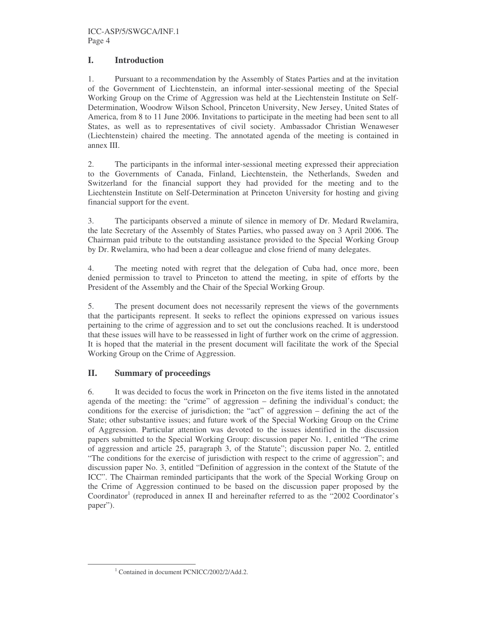## **I. Introduction**

1. Pursuant to a recommendation by the Assembly of States Parties and at the invitation of the Government of Liechtenstein, an informal inter-sessional meeting of the Special Working Group on the Crime of Aggression was held at the Liechtenstein Institute on Self-Determination, Woodrow Wilson School, Princeton University, New Jersey, United States of America, from 8 to 11 June 2006. Invitations to participate in the meeting had been sent to all States, as well as to representatives of civil society. Ambassador Christian Wenaweser (Liechtenstein) chaired the meeting. The annotated agenda of the meeting is contained in annex III.

2. The participants in the informal inter-sessional meeting expressed their appreciation to the Governments of Canada, Finland, Liechtenstein, the Netherlands, Sweden and Switzerland for the financial support they had provided for the meeting and to the Liechtenstein Institute on Self-Determination at Princeton University for hosting and giving financial support for the event.

3. The participants observed a minute of silence in memory of Dr. Medard Rwelamira, the late Secretary of the Assembly of States Parties, who passed away on 3 April 2006. The Chairman paid tribute to the outstanding assistance provided to the Special Working Group by Dr. Rwelamira, who had been a dear colleague and close friend of many delegates.

4. The meeting noted with regret that the delegation of Cuba had, once more, been denied permission to travel to Princeton to attend the meeting, in spite of efforts by the President of the Assembly and the Chair of the Special Working Group.

5. The present document does not necessarily represent the views of the governments that the participants represent. It seeks to reflect the opinions expressed on various issues pertaining to the crime of aggression and to set out the conclusions reached. It is understood that these issues will have to be reassessed in light of further work on the crime of aggression. It is hoped that the material in the present document will facilitate the work of the Special Working Group on the Crime of Aggression.

## **II. Summary of proceedings**

6. It was decided to focus the work in Princeton on the five items listed in the annotated agenda of the meeting: the "crime" of aggression – defining the individual's conduct; the conditions for the exercise of jurisdiction; the "act" of aggression – defining the act of the State; other substantive issues; and future work of the Special Working Group on the Crime of Aggression. Particular attention was devoted to the issues identified in the discussion papers submitted to the Special Working Group: discussion paper No. 1, entitled "The crime of aggression and article 25, paragraph 3, of the Statute"; discussion paper No. 2, entitled "The conditions for the exercise of jurisdiction with respect to the crime of aggression"; and discussion paper No. 3, entitled "Definition of aggression in the context of the Statute of the ICC". The Chairman reminded participants that the work of the Special Working Group on the Crime of Aggression continued to be based on the discussion paper proposed by the Coordinator 1 (reproduced in annex II and hereinafter referred to as the "2002 Coordinator's paper").

<sup>&</sup>lt;sup>1</sup> Contained in document PCNICC/2002/2/Add.2.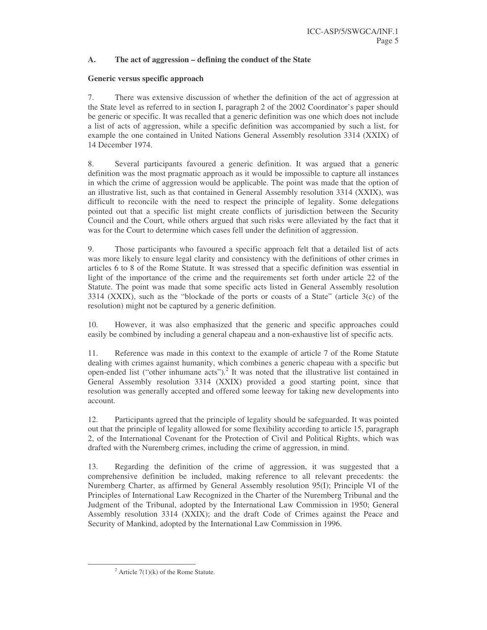### **A. The act of aggression – defining the conduct of the State**

#### **Generic versus specific approach**

7. There was extensive discussion of whether the definition of the act of aggression at the State level as referred to in section I, paragraph 2 of the 2002 Coordinator's paper should be generic or specific. It was recalled that a generic definition was one which does not include a list of acts of aggression, while a specific definition was accompanied by such a list, for example the one contained in United Nations General Assembly resolution 3314 (XXIX) of 14 December 1974.

8. Several participants favoured a generic definition. It was argued that a generic definition was the most pragmatic approach as it would be impossible to capture all instances in which the crime of aggression would be applicable. The point was made that the option of an illustrative list, such as that contained in General Assembly resolution 3314 (XXIX), was difficult to reconcile with the need to respect the principle of legality. Some delegations pointed out that a specific list might create conflicts of jurisdiction between the Security Council and the Court, while others argued that such risks were alleviated by the fact that it was for the Court to determine which cases fell under the definition of aggression.

9. Those participants who favoured a specific approach felt that a detailed list of acts was more likely to ensure legal clarity and consistency with the definitions of other crimes in articles 6 to 8 of the Rome Statute. It was stressed that a specific definition was essential in light of the importance of the crime and the requirements set forth under article 22 of the Statute. The point was made that some specific acts listed in General Assembly resolution 3314 (XXIX), such as the "blockade of the ports or coasts of a State" (article 3(c) of the resolution) might not be captured by a generic definition.

10. However, it was also emphasized that the generic and specific approaches could easily be combined by including a general chapeau and a non-exhaustive list of specific acts.

11. Reference was made in this context to the example of article 7 of the Rome Statute dealing with crimes against humanity, which combines a generic chapeau with a specific but open-ended list ("other inhumane acts").<sup>2</sup> It was noted that the illustrative list contained in General Assembly resolution 3314 (XXIX) provided a good starting point, since that resolution was generally accepted and offered some leeway for taking new developments into account.

12. Participants agreed that the principle of legality should be safeguarded. It was pointed out that the principle of legality allowed for some flexibility according to article 15, paragraph 2, of the International Covenant for the Protection of Civil and Political Rights, which was drafted with the Nuremberg crimes, including the crime of aggression, in mind.

13. Regarding the definition of the crime of aggression, it was suggested that a comprehensive definition be included, making reference to all relevant precedents: the Nuremberg Charter, as affirmed by General Assembly resolution 95(I); Principle VI of the Principles of International Law Recognized in the Charter of the Nuremberg Tribunal and the Judgment of the Tribunal, adopted by the International Law Commission in 1950; General Assembly resolution 3314 (XXIX); and the draft Code of Crimes against the Peace and Security of Mankind, adopted by the International Law Commission in 1996.

 $2$  Article 7(1)(k) of the Rome Statute.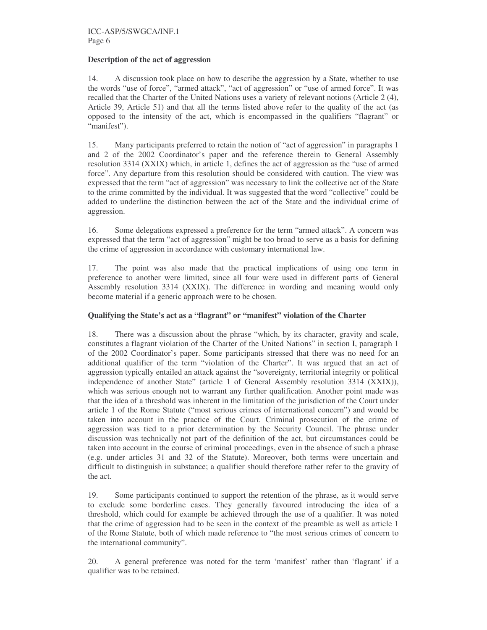#### **Description of the act of aggression**

14. A discussion took place on how to describe the aggression by a State, whether to use the words "use of force", "armed attack", "act of aggression" or "use of armed force". It was recalled that the Charter of the United Nations uses a variety of relevant notions (Article 2 (4), Article 39, Article 51) and that all the terms listed above refer to the quality of the act (as opposed to the intensity of the act, which is encompassed in the qualifiers "flagrant" or "manifest").

15. Many participants preferred to retain the notion of "act of aggression" in paragraphs 1 and 2 of the 2002 Coordinator's paper and the reference therein to General Assembly resolution 3314 (XXIX) which, in article 1, defines the act of aggression as the "use of armed force". Any departure from this resolution should be considered with caution. The view was expressed that the term "act of aggression" was necessary to link the collective act of the State to the crime committed by the individual. It was suggested that the word "collective" could be added to underline the distinction between the act of the State and the individual crime of aggression.

16. Some delegations expressed a preference for the term "armed attack". A concern was expressed that the term "act of aggression" might be too broad to serve as a basis for defining the crime of aggression in accordance with customary international law.

17. The point was also made that the practical implications of using one term in preference to another were limited, since all four were used in different parts of General Assembly resolution 3314 (XXIX). The difference in wording and meaning would only become material if a generic approach were to be chosen.

#### **Qualifying the State's act as a "flagrant" or "manifest" violation of the Charter**

18. There was a discussion about the phrase "which, by its character, gravity and scale, constitutes a flagrant violation of the Charter of the United Nations" in section I, paragraph 1 of the 2002 Coordinator's paper. Some participants stressed that there was no need for an additional qualifier of the term "violation of the Charter". It was argued that an act of aggression typically entailed an attack against the "sovereignty, territorial integrity or political independence of another State" (article 1 of General Assembly resolution 3314 (XXIX)), which was serious enough not to warrant any further qualification. Another point made was that the idea of a threshold was inherent in the limitation of the jurisdiction of the Court under article 1 of the Rome Statute ("most serious crimes of international concern") and would be taken into account in the practice of the Court. Criminal prosecution of the crime of aggression was tied to a prior determination by the Security Council. The phrase under discussion was technically not part of the definition of the act, but circumstances could be taken into account in the course of criminal proceedings, even in the absence of such a phrase (e.g. under articles 31 and 32 of the Statute). Moreover, both terms were uncertain and difficult to distinguish in substance; a qualifier should therefore rather refer to the gravity of the act.

19. Some participants continued to support the retention of the phrase, as it would serve to exclude some borderline cases. They generally favoured introducing the idea of a threshold, which could for example be achieved through the use of a qualifier. It was noted that the crime of aggression had to be seen in the context of the preamble as well as article 1 of the Rome Statute, both of which made reference to "the most serious crimes of concern to the international community".

20. A general preference was noted for the term 'manifest' rather than 'flagrant' if a qualifier was to be retained.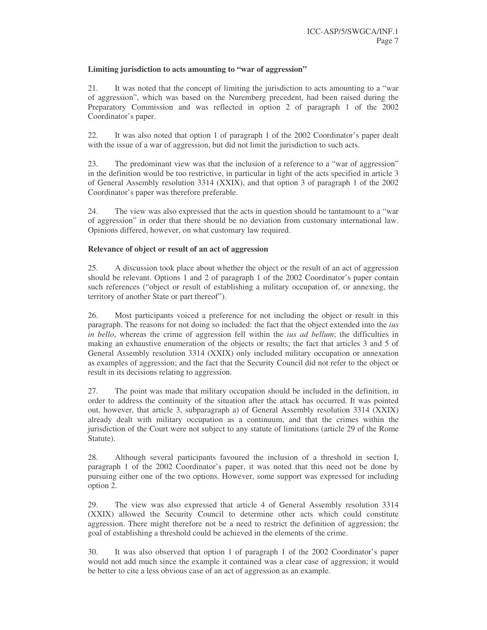#### **Limiting jurisdiction to acts amounting to "war of aggression"**

21. It was noted that the concept of limiting the jurisdiction to acts amounting to a "war of aggression", which was based on the Nuremberg precedent, had been raised during the Preparatory Commission and was reflected in option 2 of paragraph 1 of the 2002 Coordinator's paper.

22. It was also noted that option 1 of paragraph 1 of the 2002 Coordinator's paper dealt with the issue of a war of aggression, but did not limit the jurisdiction to such acts.

23. The predominant view was that the inclusion of a reference to a "war of aggression" in the definition would be too restrictive, in particular in light of the acts specified in article 3 of General Assembly resolution 3314 (XXIX), and that option 3 of paragraph 1 of the 2002 Coordinator's paper was therefore preferable.

24. The view was also expressed that the acts in question should be tantamount to a "war of aggression" in order that there should be no deviation from customary international law. Opinions differed, however, on what customary law required.

#### **Relevance of object or result of an act of aggression**

25. A discussion took place about whether the object or the result of an act of aggression should be relevant. Options 1 and 2 of paragraph 1 of the 2002 Coordinator's paper contain such references ("object or result of establishing a military occupation of, or annexing, the territory of another State or part thereof").

26. Most participants voiced a preference for not including the object or result in this paragraph. The reasons for not doing so included: the fact that the object extended into the *ius in bello*, whereas the crime of aggression fell within the *ius ad bellum*; the difficulties in making an exhaustive enumeration of the objects or results; the fact that articles 3 and 5 of General Assembly resolution 3314 (XXIX) only included military occupation or annexation as examples of aggression; and the fact that the Security Council did not refer to the object or result in its decisions relating to aggression.

27. The point was made that military occupation should be included in the definition, in order to address the continuity of the situation after the attack has occurred. It was pointed out, however, that article 3, subparagraph a) of General Assembly resolution 3314 (XXIX) already dealt with military occupation as a continuum, and that the crimes within the jurisdiction of the Court were not subject to any statute of limitations (article 29 of the Rome Statute).

28. Although several participants favoured the inclusion of a threshold in section I, paragraph 1 of the 2002 Coordinator's paper, it was noted that this need not be done by pursuing either one of the two options. However, some support was expressed for including option 2.

29. The view was also expressed that article 4 of General Assembly resolution 3314 (XXIX) allowed the Security Council to determine other acts which could constitute aggression. There might therefore not be a need to restrict the definition of aggression; the goal of establishing a threshold could be achieved in the elements of the crime.

30. It was also observed that option 1 of paragraph 1 of the 2002 Coordinator's paper would not add much since the example it contained was a clear case of aggression; it would be better to cite a less obvious case of an act of aggression as an example.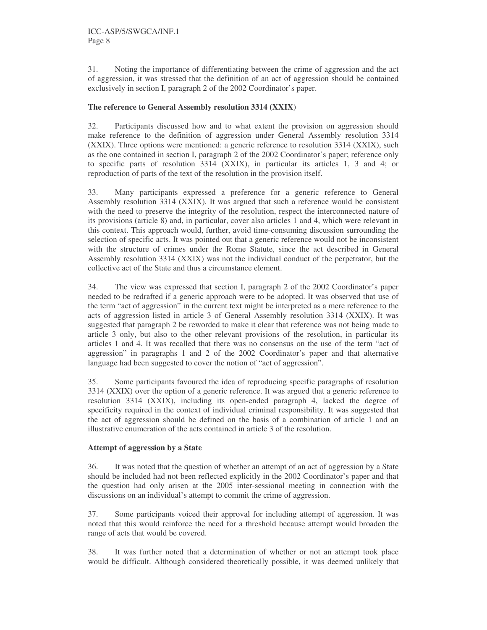31. Noting the importance of differentiating between the crime of aggression and the act of aggression, it was stressed that the definition of an act of aggression should be contained exclusively in section I, paragraph 2 of the 2002 Coordinator's paper.

#### **The reference to General Assembly resolution 3314 (XXIX)**

32. Participants discussed how and to what extent the provision on aggression should make reference to the definition of aggression under General Assembly resolution 3314 (XXIX). Three options were mentioned: a generic reference to resolution 3314 (XXIX), such as the one contained in section I, paragraph 2 of the 2002 Coordinator's paper; reference only to specific parts of resolution 3314 (XXIX), in particular its articles 1, 3 and 4; or reproduction of parts of the text of the resolution in the provision itself.

33. Many participants expressed a preference for a generic reference to General Assembly resolution 3314 (XXIX). It was argued that such a reference would be consistent with the need to preserve the integrity of the resolution, respect the interconnected nature of its provisions (article 8) and, in particular, cover also articles 1 and 4, which were relevant in this context. This approach would, further, avoid time-consuming discussion surrounding the selection of specific acts. It was pointed out that a generic reference would not be inconsistent with the structure of crimes under the Rome Statute, since the act described in General Assembly resolution 3314 (XXIX) was not the individual conduct of the perpetrator, but the collective act of the State and thus a circumstance element.

34. The view was expressed that section I, paragraph 2 of the 2002 Coordinator's paper needed to be redrafted if a generic approach were to be adopted. It was observed that use of the term "act of aggression" in the current text might be interpreted as a mere reference to the acts of aggression listed in article 3 of General Assembly resolution 3314 (XXIX). It was suggested that paragraph 2 be reworded to make it clear that reference was not being made to article 3 only, but also to the other relevant provisions of the resolution, in particular its articles 1 and 4. It was recalled that there was no consensus on the use of the term "act of aggression" in paragraphs 1 and 2 of the 2002 Coordinator's paper and that alternative language had been suggested to cover the notion of "act of aggression".

35. Some participants favoured the idea of reproducing specific paragraphs of resolution 3314 (XXIX) over the option of a generic reference. It was argued that a generic reference to resolution 3314 (XXIX), including its open-ended paragraph 4, lacked the degree of specificity required in the context of individual criminal responsibility. It was suggested that the act of aggression should be defined on the basis of a combination of article 1 and an illustrative enumeration of the acts contained in article 3 of the resolution.

#### **Attempt of aggression by a State**

36. It was noted that the question of whether an attempt of an act of aggression by a State should be included had not been reflected explicitly in the 2002 Coordinator's paper and that the question had only arisen at the 2005 inter-sessional meeting in connection with the discussions on an individual's attempt to commit the crime of aggression.

37. Some participants voiced their approval for including attempt of aggression. It was noted that this would reinforce the need for a threshold because attempt would broaden the range of acts that would be covered.

38. It was further noted that a determination of whether or not an attempt took place would be difficult. Although considered theoretically possible, it was deemed unlikely that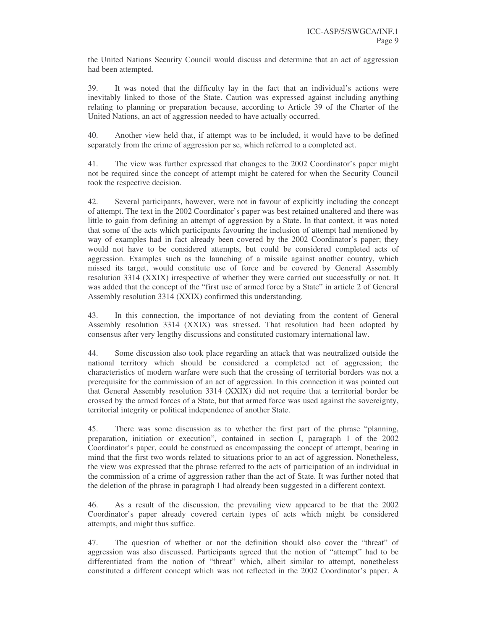the United Nations Security Council would discuss and determine that an act of aggression had been attempted.

39. It was noted that the difficulty lay in the fact that an individual's actions were inevitably linked to those of the State. Caution was expressed against including anything relating to planning or preparation because, according to Article 39 of the Charter of the United Nations, an act of aggression needed to have actually occurred.

40. Another view held that, if attempt was to be included, it would have to be defined separately from the crime of aggression per se, which referred to a completed act.

41. The view was further expressed that changes to the 2002 Coordinator's paper might not be required since the concept of attempt might be catered for when the Security Council took the respective decision.

42. Several participants, however, were not in favour of explicitly including the concept of attempt. The text in the 2002 Coordinator's paper was best retained unaltered and there was little to gain from defining an attempt of aggression by a State. In that context, it was noted that some of the acts which participants favouring the inclusion of attempt had mentioned by way of examples had in fact already been covered by the 2002 Coordinator's paper; they would not have to be considered attempts, but could be considered completed acts of aggression. Examples such as the launching of a missile against another country, which missed its target, would constitute use of force and be covered by General Assembly resolution 3314 (XXIX) irrespective of whether they were carried out successfully or not. It was added that the concept of the "first use of armed force by a State" in article 2 of General Assembly resolution 3314 (XXIX) confirmed this understanding.

43. In this connection, the importance of not deviating from the content of General Assembly resolution 3314 (XXIX) was stressed. That resolution had been adopted by consensus after very lengthy discussions and constituted customary international law.

44. Some discussion also took place regarding an attack that was neutralized outside the national territory which should be considered a completed act of aggression; the characteristics of modern warfare were such that the crossing of territorial borders was not a prerequisite for the commission of an act of aggression. In this connection it was pointed out that General Assembly resolution 3314 (XXIX) did not require that a territorial border be crossed by the armed forces of a State, but that armed force was used against the sovereignty, territorial integrity or political independence of another State.

45. There was some discussion as to whether the first part of the phrase "planning, preparation, initiation or execution", contained in section I, paragraph 1 of the 2002 Coordinator's paper, could be construed as encompassing the concept of attempt, bearing in mind that the first two words related to situations prior to an act of aggression. Nonetheless, the view was expressed that the phrase referred to the acts of participation of an individual in the commission of a crime of aggression rather than the act of State. It was further noted that the deletion of the phrase in paragraph 1 had already been suggested in a different context.

46. As a result of the discussion, the prevailing view appeared to be that the 2002 Coordinator's paper already covered certain types of acts which might be considered attempts, and might thus suffice.

47. The question of whether or not the definition should also cover the "threat" of aggression was also discussed. Participants agreed that the notion of "attempt" had to be differentiated from the notion of "threat" which, albeit similar to attempt, nonetheless constituted a different concept which was not reflected in the 2002 Coordinator's paper. A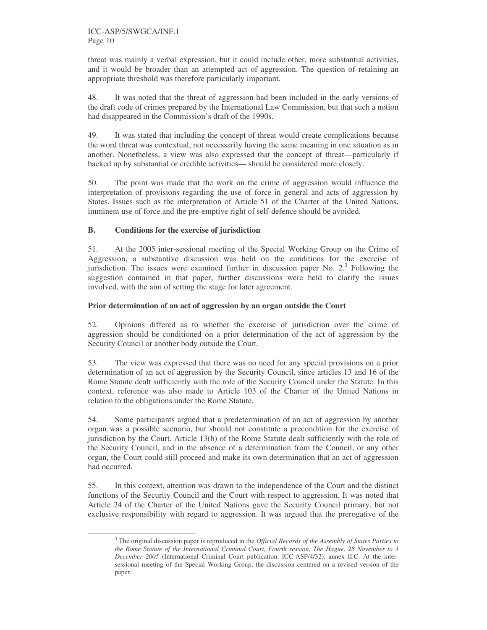threat was mainly a verbal expression, but it could include other, more substantial activities, and it would be broader than an attempted act of aggression. The question of retaining an appropriate threshold was therefore particularly important.

48. It was noted that the threat of aggression had been included in the early versions of the draft code of crimes prepared by the International Law Commission, but that such a notion had disappeared in the Commission's draft of the 1990s.

49. It was stated that including the concept of threat would create complications because the word threat was contextual, not necessarily having the same meaning in one situation as in another. Nonetheless, a view was also expressed that the concept of threat—particularly if backed up by substantial or credible activities— should be considered more closely.

50. The point was made that the work on the crime of aggression would influence the interpretation of provisions regarding the use of force in general and acts of aggression by States. Issues such as the interpretation of Article 51 of the Charter of the United Nations, imminent use of force and the pre-emptive right of self-defence should be avoided.

### **B. Conditions for the exercise of jurisdiction**

51. At the 2005 inter-sessional meeting of the Special Working Group on the Crime of Aggression, a substantive discussion was held on the conditions for the exercise of jurisdiction. The issues were examined further in discussion paper No.  $2<sup>3</sup>$  Following the suggestion contained in that paper, further discussions were held to clarify the issues involved, with the aim of setting the stage for later agreement.

#### **Prior determination of an act of aggression by an organ outside the Court**

52. Opinions differed as to whether the exercise of jurisdiction over the crime of aggression should be conditioned on a prior determination of the act of aggression by the Security Council or another body outside the Court.

53. The view was expressed that there was no need for any special provisions on a prior determination of an act of aggression by the Security Council, since articles 13 and 16 of the Rome Statute dealt sufficiently with the role of the Security Council under the Statute. In this context, reference was also made to Article 103 of the Charter of the United Nations in relation to the obligations under the Rome Statute.

54. Some participants argued that a predetermination of an act of aggression by another organ was a possible scenario, but should not constitute a precondition for the exercise of jurisdiction by the Court. Article 13(b) of the Rome Statute dealt sufficiently with the role of the Security Council, and in the absence of a determination from the Council, or any other organ, the Court could still proceed and make its own determination that an act of aggression had occurred.

55. In this context, attention was drawn to the independence of the Court and the distinct functions of the Security Council and the Court with respect to aggression. It was noted that Article 24 of the Charter of the United Nations gave the Security Council primary, but not exclusive responsibility with regard to aggression. It was argued that the prerogative of the

<sup>3</sup> The original discussion paper is reproduced in the *Official Records of the Assembly of States Parties to the Rome Statute of the International Criminal Court, Fourth session, The Hague, 28 November to 3 December 2005* (International Criminal Court publication, ICC-ASP/4/32), annex II.C. At the intersessional meeting of the Special Working Group, the discussion centered on a revised version of the paper.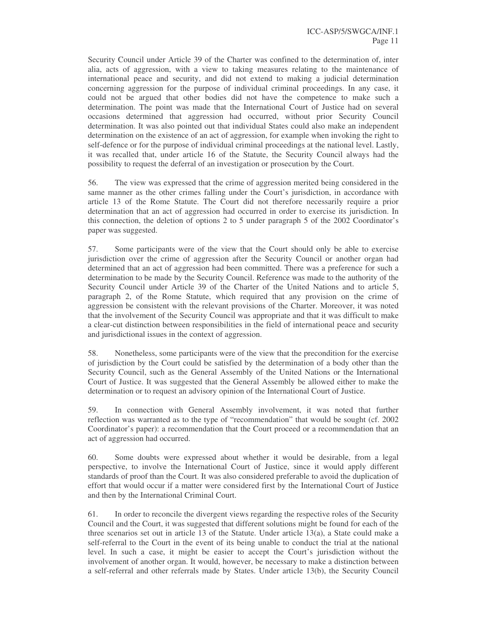Security Council under Article 39 of the Charter was confined to the determination of, inter alia, acts of aggression, with a view to taking measures relating to the maintenance of international peace and security, and did not extend to making a judicial determination concerning aggression for the purpose of individual criminal proceedings. In any case, it could not be argued that other bodies did not have the competence to make such a determination. The point was made that the International Court of Justice had on several occasions determined that aggression had occurred, without prior Security Council determination. It was also pointed out that individual States could also make an independent determination on the existence of an act of aggression, for example when invoking the right to self-defence or for the purpose of individual criminal proceedings at the national level. Lastly, it was recalled that, under article 16 of the Statute, the Security Council always had the possibility to request the deferral of an investigation or prosecution by the Court.

56. The view was expressed that the crime of aggression merited being considered in the same manner as the other crimes falling under the Court's jurisdiction, in accordance with article 13 of the Rome Statute. The Court did not therefore necessarily require a prior determination that an act of aggression had occurred in order to exercise its jurisdiction. In this connection, the deletion of options 2 to 5 under paragraph 5 of the 2002 Coordinator's paper was suggested.

57. Some participants were of the view that the Court should only be able to exercise jurisdiction over the crime of aggression after the Security Council or another organ had determined that an act of aggression had been committed. There was a preference for such a determination to be made by the Security Council. Reference was made to the authority of the Security Council under Article 39 of the Charter of the United Nations and to article 5, paragraph 2, of the Rome Statute, which required that any provision on the crime of aggression be consistent with the relevant provisions of the Charter. Moreover, it was noted that the involvement of the Security Council was appropriate and that it was difficult to make a clear-cut distinction between responsibilities in the field of international peace and security and jurisdictional issues in the context of aggression.

58. Nonetheless, some participants were of the view that the precondition for the exercise of jurisdiction by the Court could be satisfied by the determination of a body other than the Security Council, such as the General Assembly of the United Nations or the International Court of Justice. It was suggested that the General Assembly be allowed either to make the determination or to request an advisory opinion of the International Court of Justice.

59. In connection with General Assembly involvement, it was noted that further reflection was warranted as to the type of "recommendation" that would be sought (cf. 2002 Coordinator's paper): a recommendation that the Court proceed or a recommendation that an act of aggression had occurred.

60. Some doubts were expressed about whether it would be desirable, from a legal perspective, to involve the International Court of Justice, since it would apply different standards of proof than the Court. It was also considered preferable to avoid the duplication of effort that would occur if a matter were considered first by the International Court of Justice and then by the International Criminal Court.

61. In order to reconcile the divergent views regarding the respective roles of the Security Council and the Court, it was suggested that different solutions might be found for each of the three scenarios set out in article 13 of the Statute. Under article 13(a), a State could make a self-referral to the Court in the event of its being unable to conduct the trial at the national level. In such a case, it might be easier to accept the Court's jurisdiction without the involvement of another organ. It would, however, be necessary to make a distinction between a self-referral and other referrals made by States. Under article 13(b), the Security Council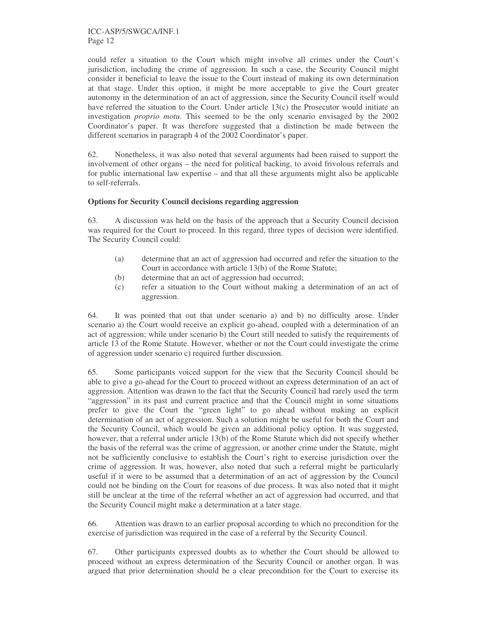could refer a situation to the Court which might involve all crimes under the Court's jurisdiction, including the crime of aggression. In such a case, the Security Council might consider it beneficial to leave the issue to the Court instead of making its own determination at that stage. Under this option, it might be more acceptable to give the Court greater autonomy in the determination of an act of aggression, since the Security Council itself would have referred the situation to the Court. Under article 13(c) the Prosecutor would initiate an investigation *proprio motu*. This seemed to be the only scenario envisaged by the 2002 Coordinator's paper. It was therefore suggested that a distinction be made between the different scenarios in paragraph 4 of the 2002 Coordinator's paper.

62. Nonetheless, it was also noted that several arguments had been raised to support the involvement of other organs – the need for political backing, to avoid frivolous referrals and for public international law expertise – and that all these arguments might also be applicable to self-referrals.

#### **Options for Security Council decisions regarding aggression**

63. A discussion was held on the basis of the approach that a Security Council decision was required for the Court to proceed. In this regard, three types of decision were identified. The Security Council could:

- (a) determine that an act of aggression had occurred and refer the situation to the Court in accordance with article 13(b) of the Rome Statute;
- (b) determine that an act of aggression had occurred;
- (c) refer a situation to the Court without making a determination of an act of aggression.

64. It was pointed that out that under scenario a) and b) no difficulty arose. Under scenario a) the Court would receive an explicit go-ahead, coupled with a determination of an act of aggression; while under scenario b) the Court still needed to satisfy the requirements of article 13 of the Rome Statute. However, whether or not the Court could investigate the crime of aggression under scenario c) required further discussion.

65. Some participants voiced support for the view that the Security Council should be able to give a go-ahead for the Court to proceed without an express determination of an act of aggression. Attention was drawn to the fact that the Security Council had rarely used the term "aggression" in its past and current practice and that the Council might in some situations prefer to give the Court the "green light" to go ahead without making an explicit determination of an act of aggression. Such a solution might be useful for both the Court and the Security Council, which would be given an additional policy option. It was suggested, however, that a referral under article 13(b) of the Rome Statute which did not specify whether the basis of the referral was the crime of aggression, or another crime under the Statute, might not be sufficiently conclusive to establish the Court's right to exercise jurisdiction over the crime of aggression. It was, however, also noted that such a referral might be particularly useful if it were to be assumed that a determination of an act of aggression by the Council could not be binding on the Court for reasons of due process. It was also noted that it might still be unclear at the time of the referral whether an act of aggression had occurred, and that the Security Council might make a determination at a later stage.

66. Attention was drawn to an earlier proposal according to which no precondition for the exercise of jurisdiction was required in the case of a referral by the Security Council.

67. Other participants expressed doubts as to whether the Court should be allowed to proceed without an express determination of the Security Council or another organ. It was argued that prior determination should be a clear precondition for the Court to exercise its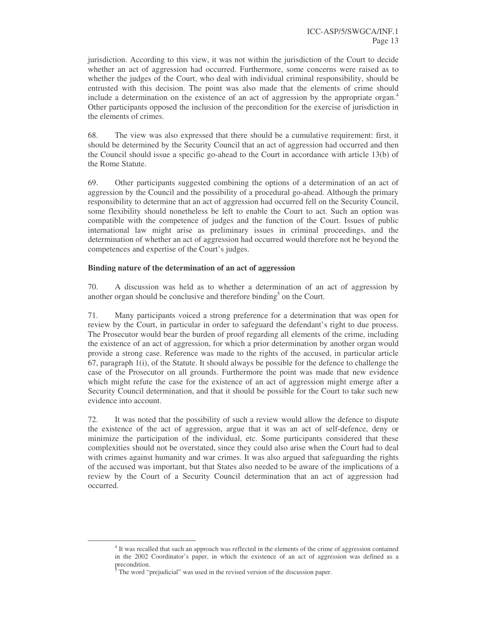jurisdiction. According to this view, it was not within the jurisdiction of the Court to decide whether an act of aggression had occurred. Furthermore, some concerns were raised as to whether the judges of the Court, who deal with individual criminal responsibility, should be entrusted with this decision. The point was also made that the elements of crime should include a determination on the existence of an act of aggression by the appropriate organ. 4 Other participants opposed the inclusion of the precondition for the exercise of jurisdiction in the elements of crimes.

68. The view was also expressed that there should be a cumulative requirement: first, it should be determined by the Security Council that an act of aggression had occurred and then the Council should issue a specific go-ahead to the Court in accordance with article 13(b) of the Rome Statute.

69. Other participants suggested combining the options of a determination of an act of aggression by the Council and the possibility of a procedural go-ahead. Although the primary responsibility to determine that an act of aggression had occurred fell on the Security Council, some flexibility should nonetheless be left to enable the Court to act. Such an option was compatible with the competence of judges and the function of the Court. Issues of public international law might arise as preliminary issues in criminal proceedings, and the determination of whether an act of aggression had occurred would therefore not be beyond the competences and expertise of the Court's judges.

#### **Binding nature of the determination of an act of aggression**

70. A discussion was held as to whether a determination of an act of aggression by another organ should be conclusive and therefore binding<sup>5</sup> on the Court.

71. Many participants voiced a strong preference for a determination that was open for review by the Court, in particular in order to safeguard the defendant's right to due process. The Prosecutor would bear the burden of proof regarding all elements of the crime, including the existence of an act of aggression, for which a prior determination by another organ would provide a strong case. Reference was made to the rights of the accused, in particular article 67, paragraph 1(i), of the Statute. It should always be possible for the defence to challenge the case of the Prosecutor on all grounds. Furthermore the point was made that new evidence which might refute the case for the existence of an act of aggression might emerge after a Security Council determination, and that it should be possible for the Court to take such new evidence into account.

72. It was noted that the possibility of such a review would allow the defence to dispute the existence of the act of aggression, argue that it was an act of self-defence, deny or minimize the participation of the individual, etc. Some participants considered that these complexities should not be overstated, since they could also arise when the Court had to deal with crimes against humanity and war crimes. It was also argued that safeguarding the rights of the accused was important, but that States also needed to be aware of the implications of a review by the Court of a Security Council determination that an act of aggression had occurred.

<sup>&</sup>lt;sup>4</sup> It was recalled that such an approach was reflected in the elements of the crime of aggression contained in the 2002 Coordinator's paper, in which the existence of an act of aggression was defined as a precondition.

The word "prejudicial" was used in the revised version of the discussion paper.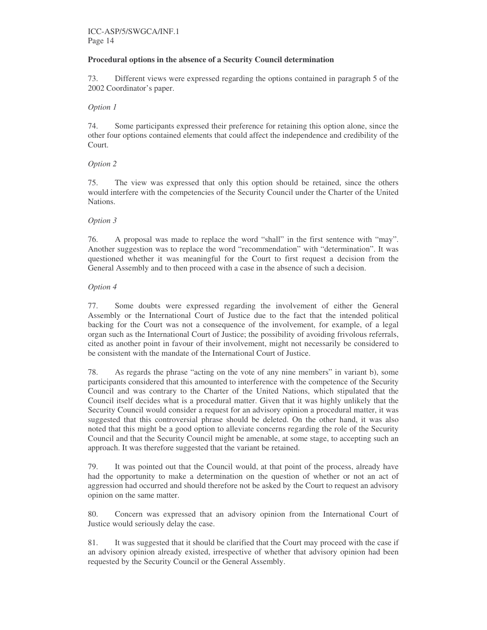#### **Procedural options in the absence of a Security Council determination**

73. Different views were expressed regarding the options contained in paragraph 5 of the 2002 Coordinator's paper.

#### *Option 1*

74. Some participants expressed their preference for retaining this option alone, since the other four options contained elements that could affect the independence and credibility of the Court.

### *Option 2*

75. The view was expressed that only this option should be retained, since the others would interfere with the competencies of the Security Council under the Charter of the United Nations.

#### *Option 3*

76. A proposal was made to replace the word "shall" in the first sentence with "may". Another suggestion was to replace the word "recommendation" with "determination". It was questioned whether it was meaningful for the Court to first request a decision from the General Assembly and to then proceed with a case in the absence of such a decision.

### *Option 4*

77. Some doubts were expressed regarding the involvement of either the General Assembly or the International Court of Justice due to the fact that the intended political backing for the Court was not a consequence of the involvement, for example, of a legal organ such as the International Court of Justice; the possibility of avoiding frivolous referrals, cited as another point in favour of their involvement, might not necessarily be considered to be consistent with the mandate of the International Court of Justice.

78. As regards the phrase "acting on the vote of any nine members" in variant b), some participants considered that this amounted to interference with the competence of the Security Council and was contrary to the Charter of the United Nations, which stipulated that the Council itself decides what is a procedural matter. Given that it was highly unlikely that the Security Council would consider a request for an advisory opinion a procedural matter, it was suggested that this controversial phrase should be deleted. On the other hand, it was also noted that this might be a good option to alleviate concerns regarding the role of the Security Council and that the Security Council might be amenable, at some stage, to accepting such an approach. It was therefore suggested that the variant be retained.

79. It was pointed out that the Council would, at that point of the process, already have had the opportunity to make a determination on the question of whether or not an act of aggression had occurred and should therefore not be asked by the Court to request an advisory opinion on the same matter.

80. Concern was expressed that an advisory opinion from the International Court of Justice would seriously delay the case.

81. It was suggested that it should be clarified that the Court may proceed with the case if an advisory opinion already existed, irrespective of whether that advisory opinion had been requested by the Security Council or the General Assembly.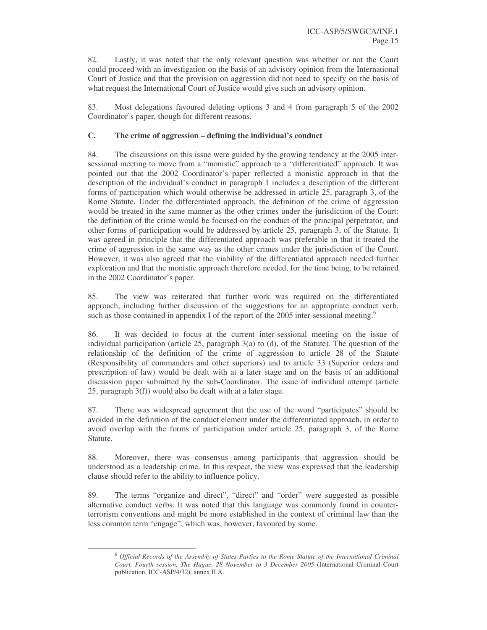82. Lastly, it was noted that the only relevant question was whether or not the Court could proceed with an investigation on the basis of an advisory opinion from the International Court of Justice and that the provision on aggression did not need to specify on the basis of what request the International Court of Justice would give such an advisory opinion.

83. Most delegations favoured deleting options 3 and 4 from paragraph 5 of the 2002 Coordinator's paper, though for different reasons.

#### **C. The crime of aggression – defining the individual's conduct**

84. The discussions on this issue were guided by the growing tendency at the 2005 intersessional meeting to move from a "monistic" approach to a "differentiated" approach. It was pointed out that the 2002 Coordinator's paper reflected a monistic approach in that the description of the individual's conduct in paragraph 1 includes a description of the different forms of participation which would otherwise be addressed in article 25, paragraph 3, of the Rome Statute. Under the differentiated approach, the definition of the crime of aggression would be treated in the same manner as the other crimes under the jurisdiction of the Court: the definition of the crime would be focused on the conduct of the principal perpetrator, and other forms of participation would be addressed by article 25, paragraph 3, of the Statute. It was agreed in principle that the differentiated approach was preferable in that it treated the crime of aggression in the same way as the other crimes under the jurisdiction of the Court. However, it was also agreed that the viability of the differentiated approach needed further exploration and that the monistic approach therefore needed, for the time being, to be retained in the 2002 Coordinator's paper.

85. The view was reiterated that further work was required on the differentiated approach, including further discussion of the suggestions for an appropriate conduct verb, such as those contained in appendix I of the report of the 2005 inter-sessional meeting.<sup>6</sup>

86. It was decided to focus at the current inter-sessional meeting on the issue of individual participation (article 25, paragraph 3(a) to (d), of the Statute). The question of the relationship of the definition of the crime of aggression to article 28 of the Statute (Responsibility of commanders and other superiors) and to article 33 (Superior orders and prescription of law) would be dealt with at a later stage and on the basis of an additional discussion paper submitted by the sub-Coordinator. The issue of individual attempt (article 25, paragraph 3(f)) would also be dealt with at a later stage.

87. There was widespread agreement that the use of the word "participates" should be avoided in the definition of the conduct element under the differentiated approach, in order to avoid overlap with the forms of participation under article 25, paragraph 3, of the Rome Statute.

88. Moreover, there was consensus among participants that aggression should be understood as a leadership crime. In this respect, the view was expressed that the leadership clause should refer to the ability to influence policy.

89. The terms "organize and direct", "direct" and "order" were suggested as possible alternative conduct verbs. It was noted that this language was commonly found in counterterrorism conventions and might be more established in the context of criminal law than the less common term "engage", which was, however, favoured by some.

<sup>6</sup> *Official Records of the Assembly of States Parties to the Rome Statute of the International Criminal Court, Fourth session, The Hague, 28 November to 3 December 2005* (International Criminal Court publication, ICC-ASP/4/32), annex II.A.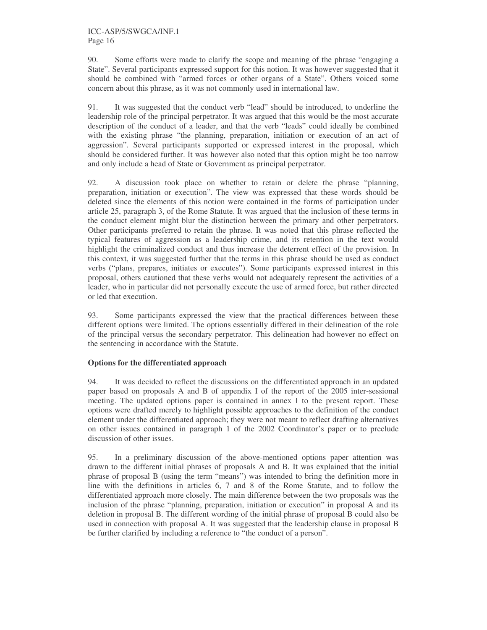90. Some efforts were made to clarify the scope and meaning of the phrase "engaging a State". Several participants expressed support for this notion. It was however suggested that it should be combined with "armed forces or other organs of a State". Others voiced some concern about this phrase, as it was not commonly used in international law.

91. It was suggested that the conduct verb "lead" should be introduced, to underline the leadership role of the principal perpetrator. It was argued that this would be the most accurate description of the conduct of a leader, and that the verb "leads" could ideally be combined with the existing phrase "the planning, preparation, initiation or execution of an act of aggression". Several participants supported or expressed interest in the proposal, which should be considered further. It was however also noted that this option might be too narrow and only include a head of State or Government as principal perpetrator.

92. A discussion took place on whether to retain or delete the phrase "planning, preparation, initiation or execution". The view was expressed that these words should be deleted since the elements of this notion were contained in the forms of participation under article 25, paragraph 3, of the Rome Statute. It was argued that the inclusion of these terms in the conduct element might blur the distinction between the primary and other perpetrators. Other participants preferred to retain the phrase. It was noted that this phrase reflected the typical features of aggression as a leadership crime, and its retention in the text would highlight the criminalized conduct and thus increase the deterrent effect of the provision. In this context, it was suggested further that the terms in this phrase should be used as conduct verbs ("plans, prepares, initiates or executes"). Some participants expressed interest in this proposal, others cautioned that these verbs would not adequately represent the activities of a leader, who in particular did not personally execute the use of armed force, but rather directed or led that execution.

93. Some participants expressed the view that the practical differences between these different options were limited. The options essentially differed in their delineation of the role of the principal versus the secondary perpetrator. This delineation had however no effect on the sentencing in accordance with the Statute.

#### **Options for the differentiated approach**

94. It was decided to reflect the discussions on the differentiated approach in an updated paper based on proposals A and B of appendix I of the report of the 2005 inter-sessional meeting. The updated options paper is contained in annex I to the present report. These options were drafted merely to highlight possible approaches to the definition of the conduct element under the differentiated approach; they were not meant to reflect drafting alternatives on other issues contained in paragraph 1 of the 2002 Coordinator's paper or to preclude discussion of other issues.

95. In a preliminary discussion of the above-mentioned options paper attention was drawn to the different initial phrases of proposals A and B. It was explained that the initial phrase of proposal B (using the term "means") was intended to bring the definition more in line with the definitions in articles 6, 7 and 8 of the Rome Statute, and to follow the differentiated approach more closely. The main difference between the two proposals was the inclusion of the phrase "planning, preparation, initiation or execution" in proposal A and its deletion in proposal B. The different wording of the initial phrase of proposal B could also be used in connection with proposal A. It was suggested that the leadership clause in proposal B be further clarified by including a reference to "the conduct of a person".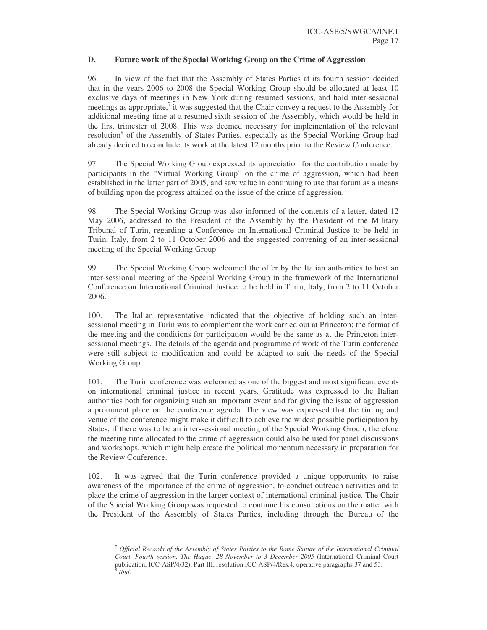### **D. Future work of the Special Working Group on the Crime of Aggression**

96. In view of the fact that the Assembly of States Parties at its fourth session decided that in the years 2006 to 2008 the Special Working Group should be allocated at least 10 exclusive days of meetings in New York during resumed sessions, and hold inter-sessional meetings as appropriate,<sup>7</sup> it was suggested that the Chair convey a request to the Assembly for additional meeting time at a resumed sixth session of the Assembly, which would be held in the first trimester of 2008. This was deemed necessary for implementation of the relevant resolution<sup>8</sup> of the Assembly of States Parties, especially as the Special Working Group had already decided to conclude its work at the latest 12 months prior to the Review Conference.

97. The Special Working Group expressed its appreciation for the contribution made by participants in the "Virtual Working Group" on the crime of aggression, which had been established in the latter part of 2005, and saw value in continuing to use that forum as a means of building upon the progress attained on the issue of the crime of aggression.

98. The Special Working Group was also informed of the contents of a letter, dated 12 May 2006, addressed to the President of the Assembly by the President of the Military Tribunal of Turin, regarding a Conference on International Criminal Justice to be held in Turin, Italy, from 2 to 11 October 2006 and the suggested convening of an inter-sessional meeting of the Special Working Group.

99. The Special Working Group welcomed the offer by the Italian authorities to host an inter-sessional meeting of the Special Working Group in the framework of the International Conference on International Criminal Justice to be held in Turin, Italy, from 2 to 11 October 2006.

100. The Italian representative indicated that the objective of holding such an intersessional meeting in Turin was to complement the work carried out at Princeton; the format of the meeting and the conditions for participation would be the same as at the Princeton intersessional meetings. The details of the agenda and programme of work of the Turin conference were still subject to modification and could be adapted to suit the needs of the Special Working Group.

101. The Turin conference was welcomed as one of the biggest and most significant events on international criminal justice in recent years. Gratitude was expressed to the Italian authorities both for organizing such an important event and for giving the issue of aggression a prominent place on the conference agenda. The view was expressed that the timing and venue of the conference might make it difficult to achieve the widest possible participation by States, if there was to be an inter-sessional meeting of the Special Working Group; therefore the meeting time allocated to the crime of aggression could also be used for panel discussions and workshops, which might help create the political momentum necessary in preparation for the Review Conference.

102. It was agreed that the Turin conference provided a unique opportunity to raise awareness of the importance of the crime of aggression, to conduct outreach activities and to place the crime of aggression in the larger context of international criminal justice. The Chair of the Special Working Group was requested to continue his consultations on the matter with the President of the Assembly of States Parties, including through the Bureau of the

<sup>7</sup> *Official Records of the Assembly of States Parties to the Rome Statute of the International Criminal Court, Fourth session, The Hague, 28 November to 3 December 2005* (International Criminal Court publication, ICC-ASP/4/32), Part III, resolution ICC-ASP/4/Res.4, operative paragraphs 37 and 53. 8 *Ibid.*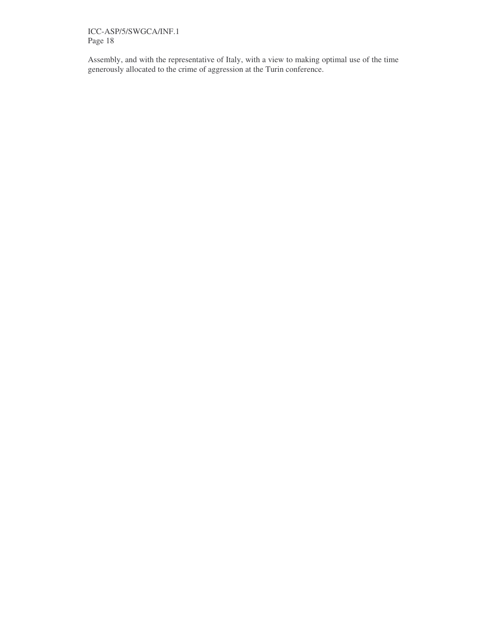Assembly, and with the representative of Italy, with a view to making optimal use of the time generously allocated to the crime of aggression at the Turin conference.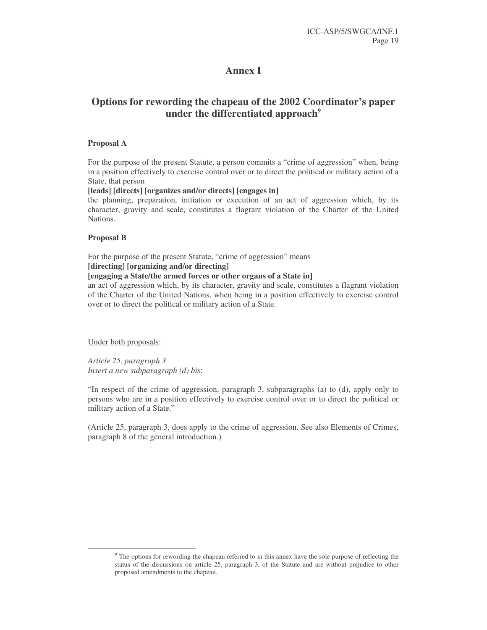## **Annex I**

# **Options for rewording the chapeau of the 2002 Coordinator's paper under the differentiated approach 9**

#### **Proposal A**

For the purpose of the present Statute, a person commits a "crime of aggression" when, being in a position effectively to exercise control over or to direct the political or military action of a State, that person

#### **[leads] [directs] [organizes and/or directs] [engages in]**

the planning, preparation, initiation or execution of an act of aggression which, by its character, gravity and scale, constitutes a flagrant violation of the Charter of the United Nations.

#### **Proposal B**

For the purpose of the present Statute, "crime of aggression" means **[directing] [organizing and/or directing]**

#### **[engaging a State/the armed forces or other organs of a State in]**

an act of aggression which, by its character, gravity and scale, constitutes a flagrant violation of the Charter of the United Nations, when being in a position effectively to exercise control over or to direct the political or military action of a State.

Under both proposals:

*Article 25, paragraph 3 Insert a new subparagraph (d) bis*:

"In respect of the crime of aggression, paragraph 3, subparagraphs (a) to (d), apply only to persons who are in a position effectively to exercise control over or to direct the political or military action of a State."

(Article 25, paragraph 3, does apply to the crime of aggression. See also Elements of Crimes, paragraph 8 of the general introduction.)

<sup>9</sup> The options for rewording the chapeau referred to in this annex have the sole purpose of reflecting the status of the discussions on article 25, paragraph 3, of the Statute and are without prejudice to other proposed amendments to the chapeau.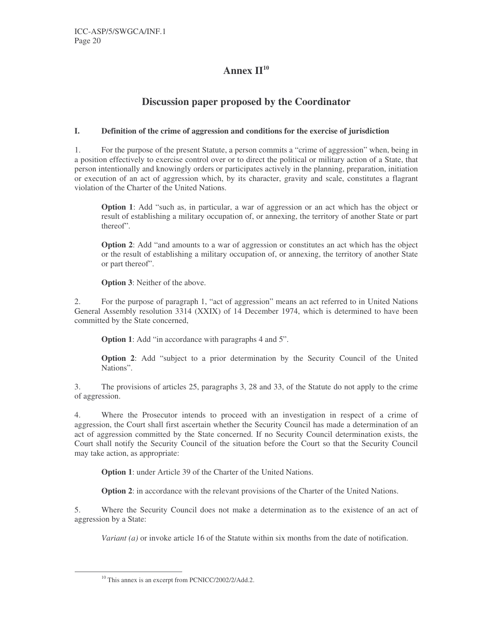# **Annex II 10**

# **Discussion paper proposed by the Coordinator**

## **I. Definition of the crime of aggression and conditions for the exercise of jurisdiction**

1. For the purpose of the present Statute, a person commits a "crime of aggression" when, being in a position effectively to exercise control over or to direct the political or military action of a State, that person intentionally and knowingly orders or participates actively in the planning, preparation, initiation or execution of an act of aggression which, by its character, gravity and scale, constitutes a flagrant violation of the Charter of the United Nations.

**Option** 1: Add "such as, in particular, a war of aggression or an act which has the object or result of establishing a military occupation of, or annexing, the territory of another State or part thereof".

**Option 2**: Add "and amounts to a war of aggression or constitutes an act which has the object or the result of establishing a military occupation of, or annexing, the territory of another State or part thereof".

**Option 3**: Neither of the above.

2. For the purpose of paragraph 1, "act of aggression" means an act referred to in United Nations General Assembly resolution 3314 (XXIX) of 14 December 1974, which is determined to have been committed by the State concerned,

**Option 1**: Add "in accordance with paragraphs 4 and 5".

**Option 2**: Add "subject to a prior determination by the Security Council of the United Nations".

3. The provisions of articles 25, paragraphs 3, 28 and 33, of the Statute do not apply to the crime of aggression.

4. Where the Prosecutor intends to proceed with an investigation in respect of a crime of aggression, the Court shall first ascertain whether the Security Council has made a determination of an act of aggression committed by the State concerned. If no Security Council determination exists, the Court shall notify the Security Council of the situation before the Court so that the Security Council may take action, as appropriate:

**Option 1**: under Article 39 of the Charter of the United Nations.

**Option 2:** in accordance with the relevant provisions of the Charter of the United Nations.

5. Where the Security Council does not make a determination as to the existence of an act of aggression by a State:

*Variant* (*a*) or invoke article 16 of the Statute within six months from the date of notification.

<sup>&</sup>lt;sup>10</sup> This annex is an excerpt from PCNICC/2002/2/Add.2.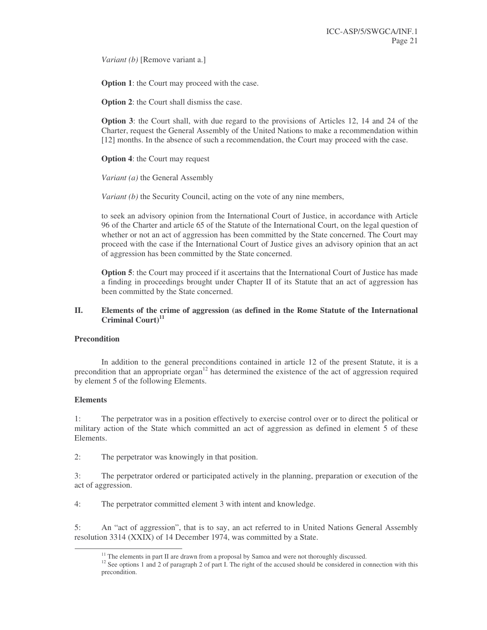*Variant (b)* [Remove variant a.]

**Option 1**: the Court may proceed with the case.

**Option 2**: the Court shall dismiss the case.

**Option 3**: the Court shall, with due regard to the provisions of Articles 12, 14 and 24 of the Charter, request the General Assembly of the United Nations to make a recommendation within [12] months. In the absence of such a recommendation, the Court may proceed with the case.

**Option 4**: the Court may request

*Variant (a)* the General Assembly

*Variant (b)* the Security Council, acting on the vote of any nine members,

to seek an advisory opinion from the International Court of Justice, in accordance with Article 96 of the Charter and article 65 of the Statute of the International Court, on the legal question of whether or not an act of aggression has been committed by the State concerned. The Court may proceed with the case if the International Court of Justice gives an advisory opinion that an act of aggression has been committed by the State concerned.

**Option** 5: the Court may proceed if it ascertains that the International Court of Justice has made a finding in proceedings brought under Chapter II of its Statute that an act of aggression has been committed by the State concerned.

### **II. Elements of the crime of aggression (as defined in the Rome Statute of the International Criminal Court) 11**

#### **Precondition**

In addition to the general preconditions contained in article 12 of the present Statute, it is a precondition that an appropriate organ<sup>12</sup> has determined the existence of the act of aggression required by element 5 of the following Elements.

#### **Elements**

1: The perpetrator was in a position effectively to exercise control over or to direct the political or military action of the State which committed an act of aggression as defined in element 5 of these Elements.

2: The perpetrator was knowingly in that position.

3: The perpetrator ordered or participated actively in the planning, preparation or execution of the act of aggression.

4: The perpetrator committed element 3 with intent and knowledge.

5: An "act of aggression", that is to say, an act referred to in United Nations General Assembly resolution 3314 (XXIX) of 14 December 1974, was committed by a State.

<sup>&</sup>lt;sup>11</sup> The elements in part II are drawn from a proposal by Samoa and were not thoroughly discussed.

 $12$  See options 1 and 2 of paragraph 2 of part I. The right of the accused should be considered in connection with this precondition.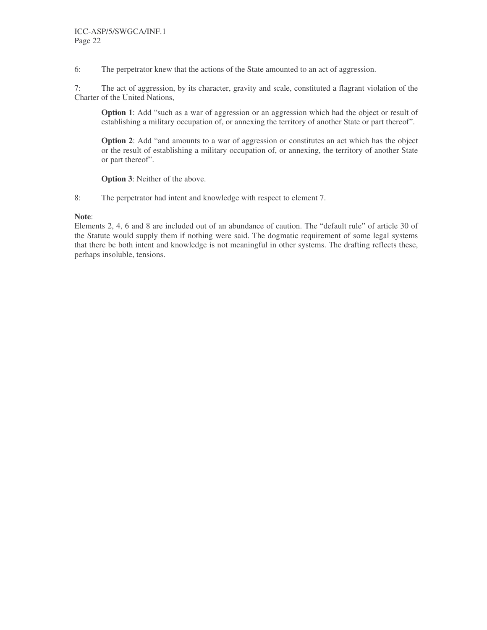6: The perpetrator knew that the actions of the State amounted to an act of aggression.

7: The act of aggression, by its character, gravity and scale, constituted a flagrant violation of the Charter of the United Nations,

**Option** 1: Add "such as a war of aggression or an aggression which had the object or result of establishing a military occupation of, or annexing the territory of another State or part thereof".

**Option 2**: Add "and amounts to a war of aggression or constitutes an act which has the object or the result of establishing a military occupation of, or annexing, the territory of another State or part thereof".

**Option 3**: Neither of the above.

8: The perpetrator had intent and knowledge with respect to element 7.

#### **Note**:

Elements 2, 4, 6 and 8 are included out of an abundance of caution. The "default rule" of article 30 of the Statute would supply them if nothing were said. The dogmatic requirement of some legal systems that there be both intent and knowledge is not meaningful in other systems. The drafting reflects these, perhaps insoluble, tensions.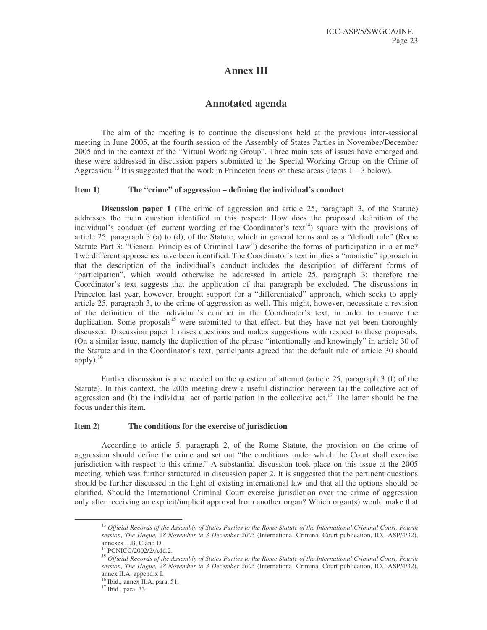## **Annex III**

## **Annotated agenda**

The aim of the meeting is to continue the discussions held at the previous inter-sessional meeting in June 2005, at the fourth session of the Assembly of States Parties in November/December 2005 and in the context of the "Virtual Working Group". Three main sets of issues have emerged and these were addressed in discussion papers submitted to the Special Working Group on the Crime of Aggression.<sup>13</sup> It is suggested that the work in Princeton focus on these areas (items  $1 - 3$  below).

### **Item 1) The "crime" of aggression – defining the individual's conduct**

**Discussion paper** 1 (The crime of aggression and article 25, paragraph 3, of the Statute) addresses the main question identified in this respect: How does the proposed definition of the individual's conduct (cf. current wording of the Coordinator's text $14$ ) square with the provisions of article 25, paragraph 3 (a) to (d), of the Statute, which in general terms and as a "default rule" (Rome Statute Part 3: "General Principles of Criminal Law") describe the forms of participation in a crime? Two different approaches have been identified. The Coordinator's text implies a "monistic" approach in that the description of the individual's conduct includes the description of different forms of "participation", which would otherwise be addressed in article 25, paragraph 3; therefore the Coordinator's text suggests that the application of that paragraph be excluded. The discussions in Princeton last year, however, brought support for a "differentiated" approach, which seeks to apply article 25, paragraph 3, to the crime of aggression as well. This might, however, necessitate a revision of the definition of the individual's conduct in the Coordinator's text, in order to remove the duplication. Some proposals<sup>15</sup> were submitted to that effect, but they have not yet been thoroughly discussed. Discussion paper 1 raises questions and makes suggestions with respect to these proposals. (On a similar issue, namely the duplication of the phrase "intentionally and knowingly" in article 30 of the Statute and in the Coordinator's text, participants agreed that the default rule of article 30 should apply). 16

Further discussion is also needed on the question of attempt (article 25, paragraph 3 (f) of the Statute). In this context, the 2005 meeting drew a useful distinction between (a) the collective act of aggression and (b) the individual act of participation in the collective act.<sup>17</sup> The latter should be the focus under this item.

#### **Item 2) The conditions for the exercise of jurisdiction**

According to article 5, paragraph 2, of the Rome Statute, the provision on the crime of aggression should define the crime and set out "the conditions under which the Court shall exercise jurisdiction with respect to this crime." A substantial discussion took place on this issue at the 2005 meeting, which was further structured in discussion paper 2. It is suggested that the pertinent questions should be further discussed in the light of existing international law and that all the options should be clarified. Should the International Criminal Court exercise jurisdiction over the crime of aggression only after receiving an explicit/implicit approval from another organ? Which organ(s) would make that

<sup>&</sup>lt;sup>13</sup> Official Records of the Assembly of States Parties to the Rome Statute of the International Criminal Court, Fourth *session, The Hague, 28 November to 3 December 2005* (International Criminal Court publication, ICC-ASP/4/32), annexes II.B, C and D.

<sup>14</sup> PCNICC/2002/2/Add.2.

<sup>&</sup>lt;sup>15</sup> Official Records of the Assembly of States Parties to the Rome Statute of the International Criminal Court, Fourth *session, The Hague, 28 November to 3 December 2005* (International Criminal Court publication, ICC-ASP/4/32), annex II.A, appendix I.

<sup>16</sup> Ibid., annex II.A, para. 51.

<sup>&</sup>lt;sup>17</sup> Ibid., para. 33.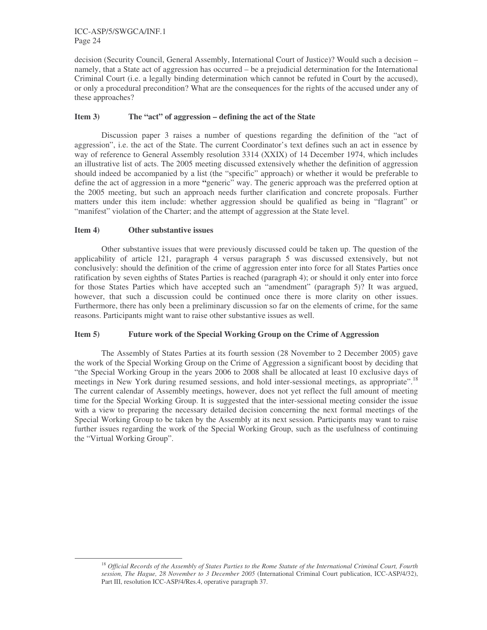decision (Security Council, General Assembly, International Court of Justice)? Would such a decision – namely, that a State act of aggression has occurred – be a prejudicial determination for the International Criminal Court (i.e. a legally binding determination which cannot be refuted in Court by the accused), or only a procedural precondition? What are the consequences for the rights of the accused under any of these approaches?

## **Item 3) The "act" of aggression – defining the act of the State**

Discussion paper 3 raises a number of questions regarding the definition of the "act of aggression", i.e. the act of the State. The current Coordinator's text defines such an act in essence by way of reference to General Assembly resolution 3314 (XXIX) of 14 December 1974, which includes an illustrative list of acts. The 2005 meeting discussed extensively whether the definition of aggression should indeed be accompanied by a list (the "specific" approach) or whether it would be preferable to define the act of aggression in a more **"**generic" way. The generic approach was the preferred option at the 2005 meeting, but such an approach needs further clarification and concrete proposals. Further matters under this item include: whether aggression should be qualified as being in "flagrant" or "manifest" violation of the Charter; and the attempt of aggression at the State level.

#### **Item 4) Other substantive issues**

Other substantive issues that were previously discussed could be taken up. The question of the applicability of article 121, paragraph 4 versus paragraph 5 was discussed extensively, but not conclusively: should the definition of the crime of aggression enter into force for all States Parties once ratification by seven eighths of States Parties is reached (paragraph 4); or should it only enter into force for those States Parties which have accepted such an "amendment" (paragraph 5)? It was argued, however, that such a discussion could be continued once there is more clarity on other issues. Furthermore, there has only been a preliminary discussion so far on the elements of crime, for the same reasons. Participants might want to raise other substantive issues as well.

#### **Item 5) Future work of the Special Working Group on the Crime of Aggression**

The Assembly of States Parties at its fourth session (28 November to 2 December 2005) gave the work of the Special Working Group on the Crime of Aggression a significant boost by deciding that "the Special Working Group in the years 2006 to 2008 shall be allocated at least 10 exclusive days of meetings in New York during resumed sessions, and hold inter-sessional meetings, as appropriate".<sup>18</sup> The current calendar of Assembly meetings, however, does not yet reflect the full amount of meeting time for the Special Working Group. It is suggested that the inter-sessional meeting consider the issue with a view to preparing the necessary detailed decision concerning the next formal meetings of the Special Working Group to be taken by the Assembly at its next session. Participants may want to raise further issues regarding the work of the Special Working Group, such as the usefulness of continuing the "Virtual Working Group".

<sup>&</sup>lt;sup>18</sup> Official Records of the Assembly of States Parties to the Rome Statute of the International Criminal Court, Fourth *session, The Hague, 28 November to 3 December 2005* (International Criminal Court publication, ICC-ASP/4/32), Part III, resolution ICC-ASP/4/Res.4, operative paragraph 37.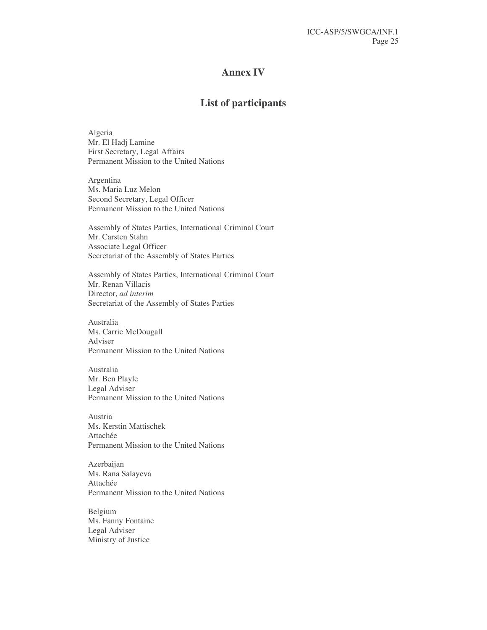## **Annex IV**

## **List of participants**

Algeria Mr. El Hadj Lamine First Secretary, Legal Affairs Permanent Mission to the United Nations

Argentina Ms. Maria Luz Melon Second Secretary, Legal Officer Permanent Mission to the United Nations

Assembly of States Parties, International Criminal Court Mr. Carsten Stahn Associate Legal Officer Secretariat of the Assembly of States Parties

Assembly of States Parties, International Criminal Court Mr. Renan Villacis Director, *ad interim* Secretariat of the Assembly of States Parties

Australia Ms. Carrie McDougall Adviser Permanent Mission to the United Nations

Australia Mr. Ben Playle Legal Adviser Permanent Mission to the United Nations

Austria Ms. Kerstin Mattischek Attachée Permanent Mission to the United Nations

Azerbaijan Ms. Rana Salayeva Attachée Permanent Mission to the United Nations

Belgium Ms. Fanny Fontaine Legal Adviser Ministry of Justice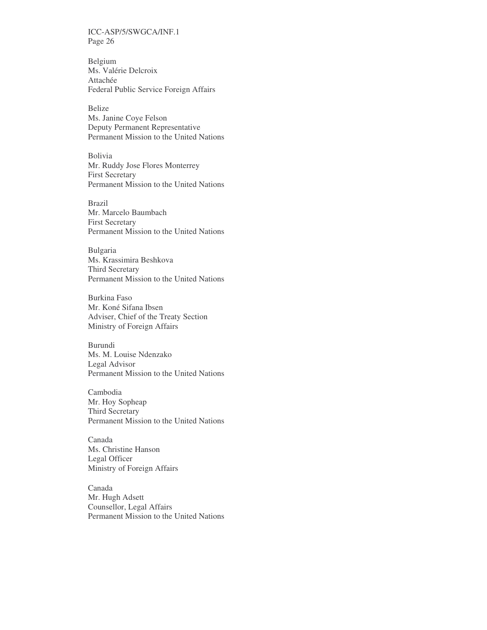Belgium Ms. Valérie Delcroix Attachée Federal Public Service Foreign Affairs

Belize Ms. Janine Coye Felson Deputy Permanent Representative Permanent Mission to the United Nations

Bolivia Mr. Ruddy Jose Flores Monterrey First Secretary Permanent Mission to the United Nations

Brazil Mr. Marcelo Baumbach First Secretary Permanent Mission to the United Nations

Bulgaria Ms. Krassimira Beshkova Third Secretary Permanent Mission to the United Nations

Burkina Faso Mr. Koné Sifana Ibsen Adviser, Chief of the Treaty Section Ministry of Foreign Affairs

Burundi Ms. M. Louise Ndenzako Legal Advisor Permanent Mission to the United Nations

Cambodia Mr. Hoy Sopheap Third Secretary Permanent Mission to the United Nations

Canada Ms. Christine Hanson Legal Officer Ministry of Foreign Affairs

Canada Mr. Hugh Adsett Counsellor, Legal Affairs Permanent Mission to the United Nations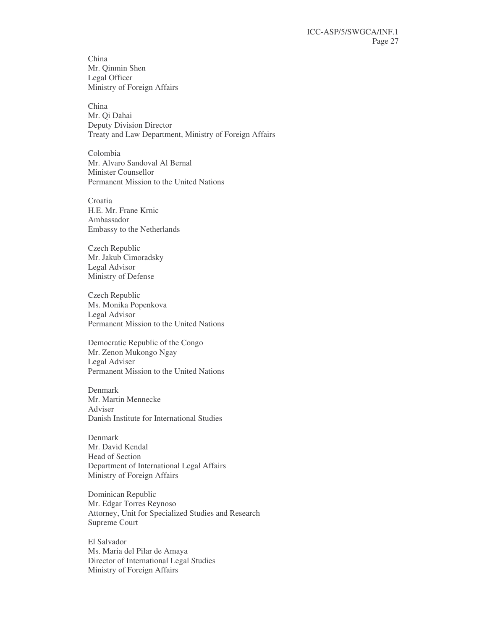China Mr. Qinmin Shen Legal Officer Ministry of Foreign Affairs

China Mr. Qi Dahai Deputy Division Director Treaty and Law Department, Ministry of Foreign Affairs

Colombia Mr. Alvaro Sandoval Al Bernal Minister Counsellor Permanent Mission to the United Nations

Croatia H.E. Mr. Frane Krnic Ambassador Embassy to the Netherlands

Czech Republic Mr. Jakub Cimoradsky Legal Advisor Ministry of Defense

Czech Republic Ms. Monika Popenkova Legal Advisor Permanent Mission to the United Nations

Democratic Republic of the Congo Mr. Zenon Mukongo Ngay Legal Adviser Permanent Mission to the United Nations

Denmark Mr. Martin Mennecke Adviser Danish Institute for International Studies

Denmark Mr. David Kendal Head of Section Department of International Legal Affairs Ministry of Foreign Affairs

Dominican Republic Mr. Edgar Torres Reynoso Attorney, Unit for Specialized Studies and Research Supreme Court

El Salvador Ms. Maria del Pilar de Amaya Director of International Legal Studies Ministry of Foreign Affairs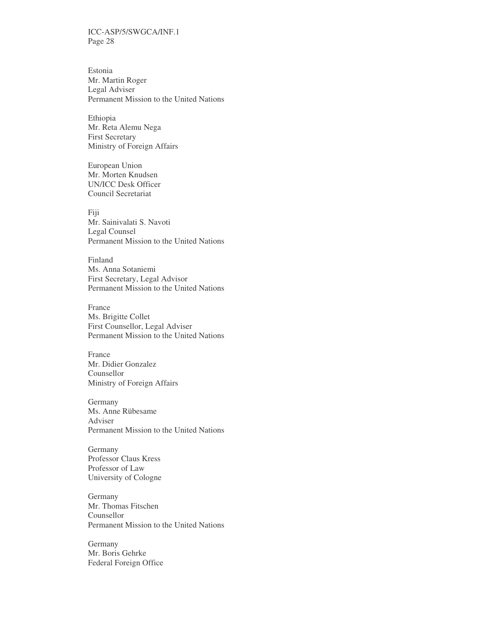Estonia Mr. Martin Roger Legal Adviser Permanent Mission to the United Nations

Ethiopia Mr. Reta Alemu Nega First Secretary Ministry of Foreign Affairs

European Union Mr. Morten Knudsen UN/ICC Desk Officer Council Secretariat

Fiji Mr. Sainivalati S. Navoti Legal Counsel Permanent Mission to the United Nations

Finland Ms. Anna Sotaniemi First Secretary, Legal Advisor Permanent Mission to the United Nations

France Ms. Brigitte Collet First Counsellor, Legal Adviser Permanent Mission to the United Nations

France Mr. Didier Gonzalez Counsellor Ministry of Foreign Affairs

Germany Ms. Anne Rübesame Adviser Permanent Mission to the United Nations

Germany Professor Claus Kress Professor of Law University of Cologne

Germany Mr. Thomas Fitschen Counsellor Permanent Mission to the United Nations

Germany Mr. Boris Gehrke Federal Foreign Office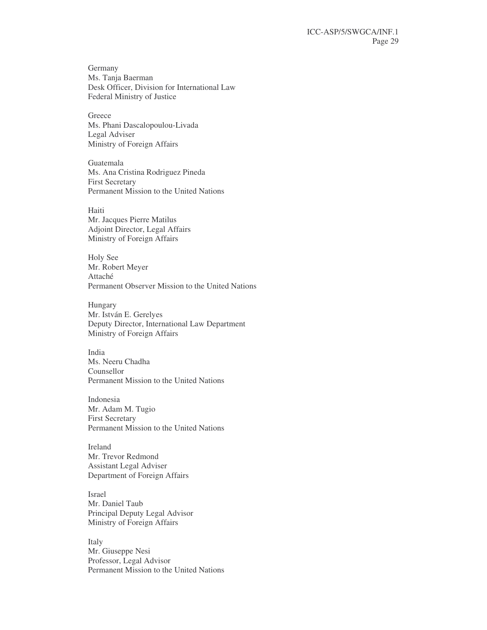Germany Ms. Tanja Baerman Desk Officer, Division for International Law Federal Ministry of Justice

**Greece** Ms. Phani Dascalopoulou-Livada Legal Adviser Ministry of Foreign Affairs

Guatemala Ms. Ana Cristina Rodriguez Pineda First Secretary Permanent Mission to the United Nations

Haiti Mr. Jacques Pierre Matilus Adjoint Director, Legal Affairs Ministry of Foreign Affairs

Holy See Mr. Robert Meyer Attaché Permanent Observer Mission to the United Nations

Hungary Mr. István E. Gerelyes Deputy Director, International Law Department Ministry of Foreign Affairs

India Ms. Neeru Chadha Counsellor Permanent Mission to the United Nations

Indonesia Mr. Adam M. Tugio First Secretary Permanent Mission to the United Nations

Ireland Mr. Trevor Redmond Assistant Legal Adviser Department of Foreign Affairs

Israel Mr. Daniel Taub Principal Deputy Legal Advisor Ministry of Foreign Affairs

Italy Mr. Giuseppe Nesi Professor, Legal Advisor Permanent Mission to the United Nations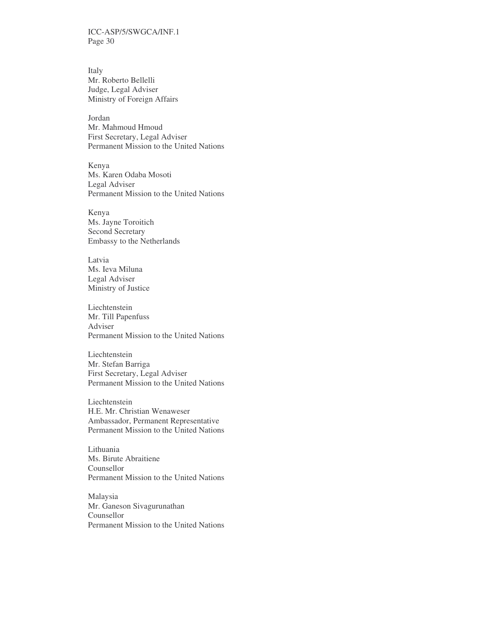Italy Mr. Roberto Bellelli Judge, Legal Adviser Ministry of Foreign Affairs

Jordan Mr. Mahmoud Hmoud First Secretary, Legal Adviser Permanent Mission to the United Nations

Kenya Ms. Karen Odaba Mosoti Legal Adviser Permanent Mission to the United Nations

Kenya Ms. Jayne Toroitich Second Secretary Embassy to the Netherlands

Latvia Ms. Ieva Miluna Legal Adviser Ministry of Justice

Liechtenstein Mr. Till Papenfuss Adviser Permanent Mission to the United Nations

Liechtenstein Mr. Stefan Barriga First Secretary, Legal Adviser Permanent Mission to the United Nations

Liechtenstein H.E. Mr. Christian Wenaweser Ambassador, Permanent Representative Permanent Mission to the United Nations

Lithuania Ms. Birute Abraitiene Counsellor Permanent Mission to the United Nations

Malaysia Mr. Ganeson Sivagurunathan Counsellor Permanent Mission to the United Nations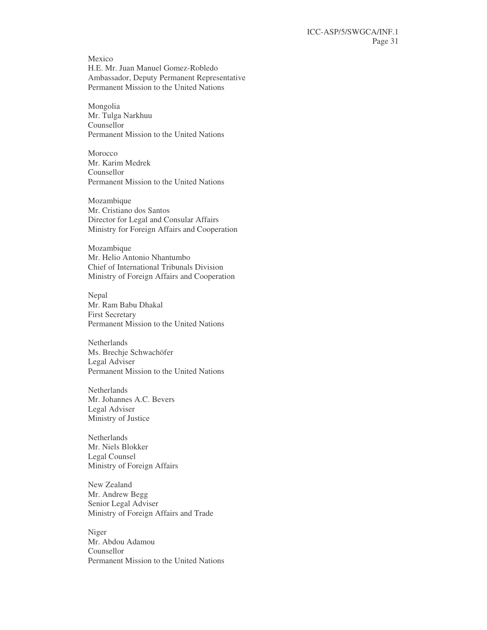Mexico H.E. Mr. Juan Manuel Gomez-Robledo Ambassador, Deputy Permanent Representative Permanent Mission to the United Nations

Mongolia Mr. Tulga Narkhuu Counsellor Permanent Mission to the United Nations

Morocco Mr. Karim Medrek Counsellor Permanent Mission to the United Nations

Mozambique Mr. Cristiano dos Santos Director for Legal and Consular Affairs Ministry for Foreign Affairs and Cooperation

Mozambique Mr. Helio Antonio Nhantumbo Chief of International Tribunals Division Ministry of Foreign Affairs and Cooperation

Nepal Mr. Ram Babu Dhakal First Secretary Permanent Mission to the United Nations

Netherlands Ms. Brechje Schwachöfer Legal Adviser Permanent Mission to the United Nations

Netherlands Mr. Johannes A.C. Bevers Legal Adviser Ministry of Justice

Netherlands Mr. Niels Blokker Legal Counsel Ministry of Foreign Affairs

New Zealand Mr. Andrew Begg Senior Legal Adviser Ministry of Foreign Affairs and Trade

Niger Mr. Abdou Adamou Counsellor Permanent Mission to the United Nations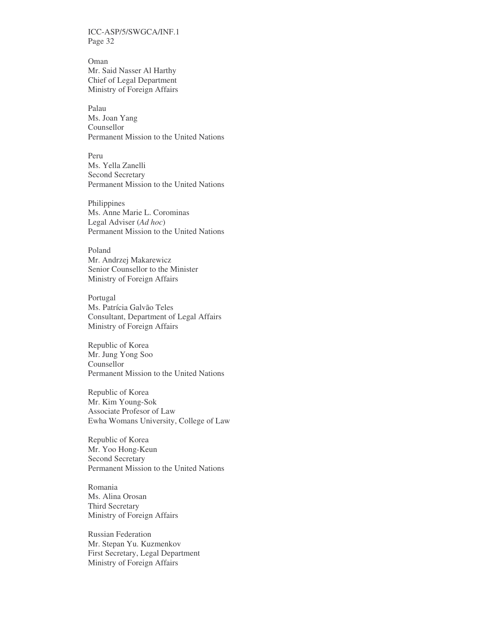Oman Mr. Said Nasser Al Harthy Chief of Legal Department Ministry of Foreign Affairs

Palau Ms. Joan Yang Counsellor Permanent Mission to the United Nations

Peru Ms. Yella Zanelli Second Secretary Permanent Mission to the United Nations

Philippines Ms. Anne Marie L. Corominas Legal Adviser (*Ad hoc*) Permanent Mission to the United Nations

Poland Mr. Andrzej Makarewicz Senior Counsellor to the Minister Ministry of Foreign Affairs

Portugal Ms. Patrícia Galvão Teles Consultant, Department of Legal Affairs Ministry of Foreign Affairs

Republic of Korea Mr. Jung Yong Soo Counsellor Permanent Mission to the United Nations

Republic of Korea Mr. Kim Young-Sok Associate Profesor of Law Ewha Womans University, College of Law

Republic of Korea Mr. Yoo Hong-Keun Second Secretary Permanent Mission to the United Nations

Romania Ms. Alina Orosan Third Secretary Ministry of Foreign Affairs

Russian Federation Mr. Stepan Yu. Kuzmenkov First Secretary, Legal Department Ministry of Foreign Affairs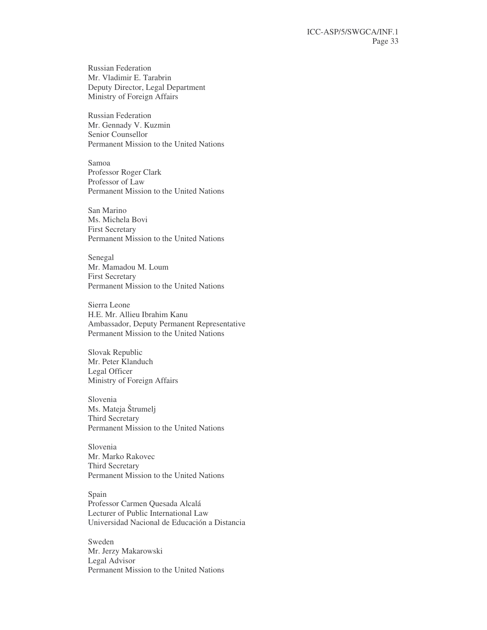Russian Federation Mr. Vladimir E. Tarabrin Deputy Director, Legal Department Ministry of Foreign Affairs

Russian Federation Mr. Gennady V. Kuzmin Senior Counsellor Permanent Mission to the United Nations

Samoa Professor Roger Clark Professor of Law Permanent Mission to the United Nations

San Marino Ms. Michela Bovi First Secretary Permanent Mission to the United Nations

Senegal Mr. Mamadou M. Loum First Secretary Permanent Mission to the United Nations

Sierra Leone H.E. Mr. Allieu Ibrahim Kanu Ambassador, Deputy Permanent Representative Permanent Mission to the United Nations

Slovak Republic Mr. Peter Klanduch Legal Officer Ministry of Foreign Affairs

Slovenia Ms. Mateja Štrumelj Third Secretary Permanent Mission to the United Nations

Slovenia Mr. Marko Rakovec Third Secretary Permanent Mission to the United Nations

Spain Professor Carmen Quesada Alcalá Lecturer of Public International Law Universidad Nacional de Educación a Distancia

Sweden Mr. Jerzy Makarowski Legal Advisor Permanent Mission to the United Nations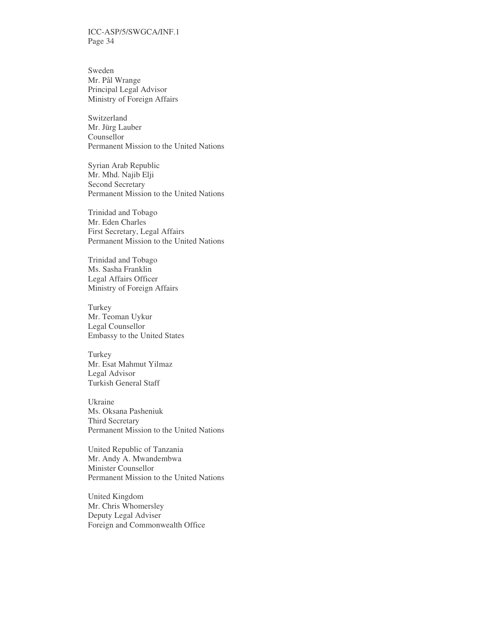Sweden Mr. Pål Wrange Principal Legal Advisor Ministry of Foreign Affairs

Switzerland Mr. Jürg Lauber Counsellor Permanent Mission to the United Nations

Syrian Arab Republic Mr. Mhd. Najib Elji Second Secretary Permanent Mission to the United Nations

Trinidad and Tobago Mr. Eden Charles First Secretary, Legal Affairs Permanent Mission to the United Nations

Trinidad and Tobago Ms. Sasha Franklin Legal Affairs Officer Ministry of Foreign Affairs

Turkey Mr. Teoman Uykur Legal Counsellor Embassy to the United States

Turkey Mr. Esat Mahmut Yilmaz Legal Advisor Turkish General Staff

Ukraine Ms. Oksana Pasheniuk Third Secretary Permanent Mission to the United Nations

United Republic of Tanzania Mr. Andy A. Mwandembwa Minister Counsellor Permanent Mission to the United Nations

United Kingdom Mr. Chris Whomersley Deputy Legal Adviser Foreign and Commonwealth Office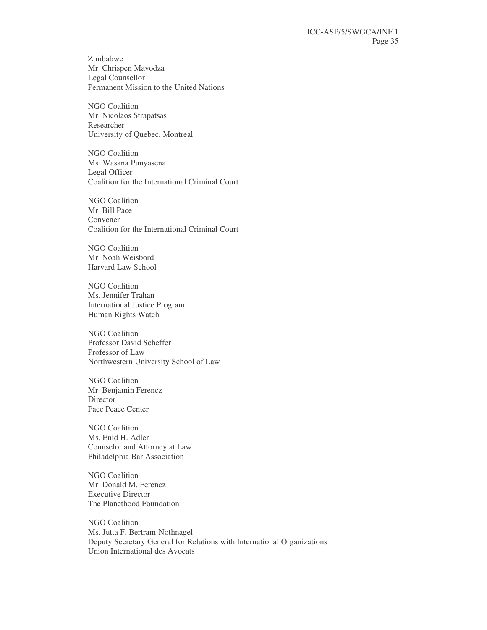Zimbabwe Mr. Chrispen Mavodza Legal Counsellor Permanent Mission to the United Nations

NGO Coalition Mr. Nicolaos Strapatsas Researcher University of Quebec, Montreal

NGO Coalition Ms. Wasana Punyasena Legal Officer Coalition for the International Criminal Court

NGO Coalition Mr. Bill Pace Convener Coalition for the International Criminal Court

NGO Coalition Mr. Noah Weisbord Harvard Law School

NGO Coalition Ms. Jennifer Trahan International Justice Program Human Rights Watch

NGO Coalition Professor David Scheffer Professor of Law Northwestern University School of Law

NGO Coalition Mr. Benjamin Ferencz Director Pace Peace Center

NGO Coalition Ms. Enid H. Adler Counselor and Attorney at Law Philadelphia Bar Association

NGO Coalition Mr. Donald M. Ferencz Executive Director The Planethood Foundation

NGO Coalition Ms. Jutta F. Bertram-Nothnagel Deputy Secretary General for Relations with International Organizations Union International des Avocats